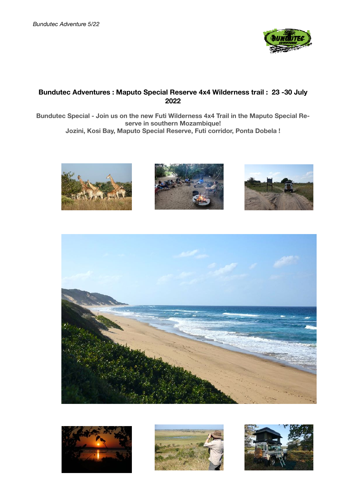

# **Bundutec Adventures : Maputo Special Reserve 4x4 Wilderness trail : 23 -30 July 2022**

**Bundutec Special - Join us on the new Futi Wilderness 4x4 Trail in the Maputo Special Reserve in southern Mozambique! Jozini, Kosi Bay, Maputo Special Reserve, Futi corridor, Ponta Dobela !** 













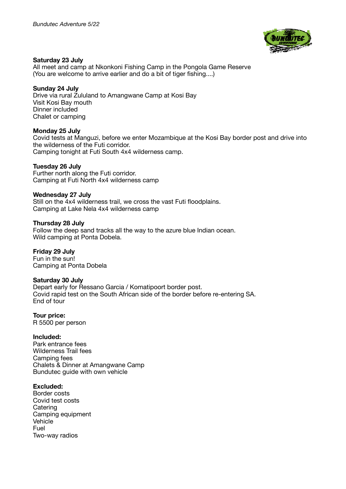

#### **Saturday 23 July**

All meet and camp at Nkonkoni Fishing Camp in the Pongola Game Reserve (You are welcome to arrive earlier and do a bit of tiger fishing....)

#### **Sunday 24 July**

Drive via rural Zululand to Amangwane Camp at Kosi Bay Visit Kosi Bay mouth Dinner included Chalet or camping

#### **Monday 25 July**

Covid tests at Manguzi, before we enter Mozambique at the Kosi Bay border post and drive into the wilderness of the Futi corridor. Camping tonight at Futi South 4x4 wilderness camp.

## **Tuesday 26 July**

Further north along the Futi corridor. Camping at Futi North 4x4 wilderness camp

## **Wednesday 27 July**

Still on the 4x4 wilderness trail, we cross the vast Futi floodplains. Camping at Lake Nela 4x4 wilderness camp

#### **Thursday 28 July**

Follow the deep sand tracks all the way to the azure blue Indian ocean. Wild camping at Ponta Dobela.

#### **Friday 29 July**

Fun in the sun! Camping at Ponta Dobela

#### **Saturday 30 July**

Depart early for Ressano Garcia / Komatipoort border post. Covid rapid test on the South African side of the border before re-entering SA. End of tour

# **Tour price:**

R 5500 per person

#### **Included:**

Park entrance fees Wilderness Trail fees Camping fees Chalets & Dinner at Amangwane Camp Bundutec guide with own vehicle

#### **Excluded:**

Border costs Covid test costs **Catering** Camping equipment Vehicle Fuel Two-way radios